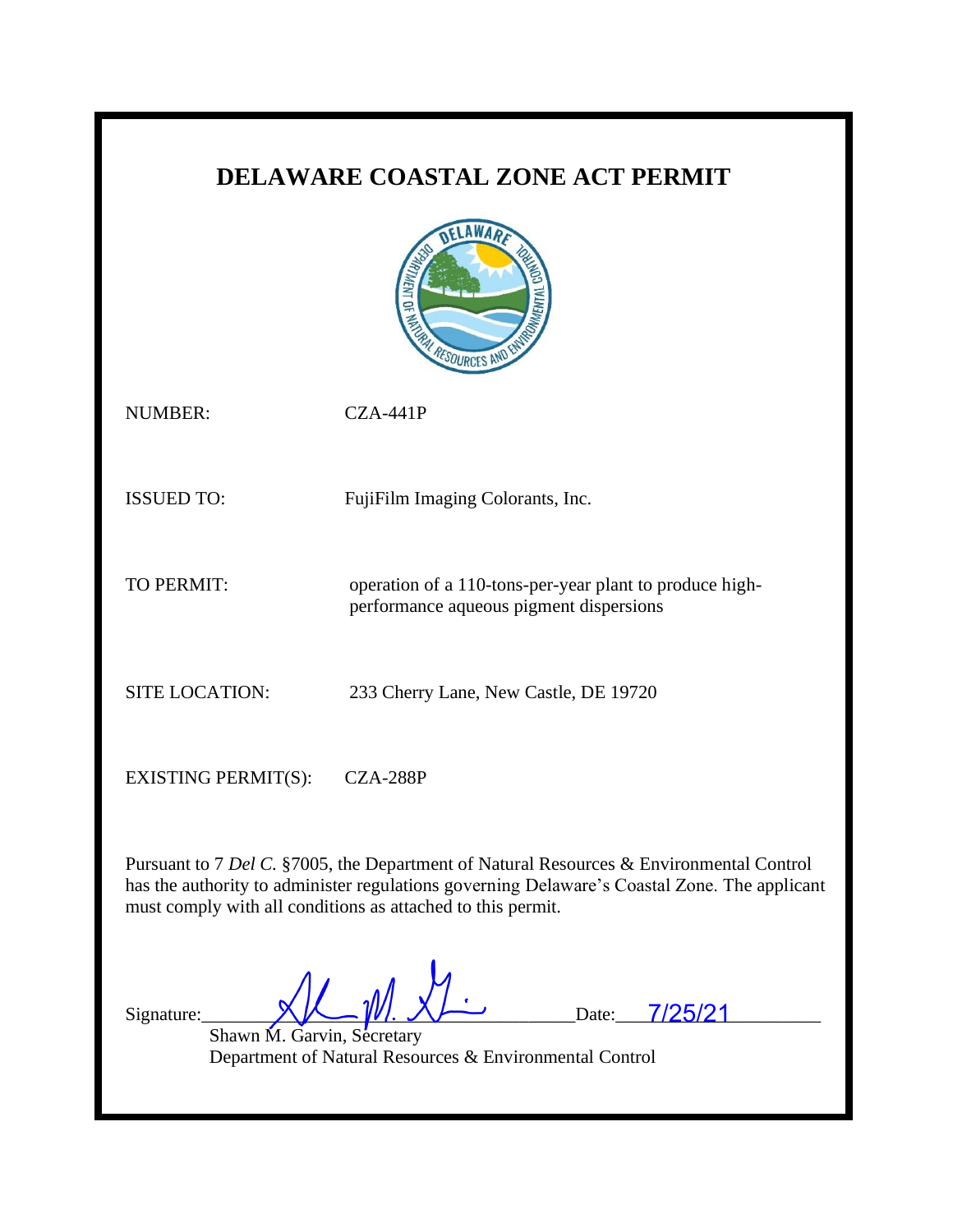# **DELAWARE COASTAL ZONE ACT PERMIT**



NUMBER: CZA-441P

ISSUED TO: FujiFilm Imaging Colorants, Inc.

TO PERMIT: operation of a 110-tons-per-year plant to produce high-

performance aqueous pigment dispersions

SITE LOCATION: 233 Cherry Lane, New Castle, DE 19720

EXISTING PERMIT(S): CZA-288P

Pursuant to 7 *Del C.* §7005, the Department of Natural Resources & Environmental Control has the authority to administer regulations governing Delaware's Coastal Zone. The applicant must comply with all conditions as attached to this permit.

Signature:  $\bigvee \bigvee \bigvee \bigvee \bigvee \bigvee \bigvee \bigvee \bigvee$ .  $\bigvee \bigvee \bigvee \bigvee$  Date: 7/25/21

Shawn M. Garvin, Secretary Department of Natural Resources & Environmental Control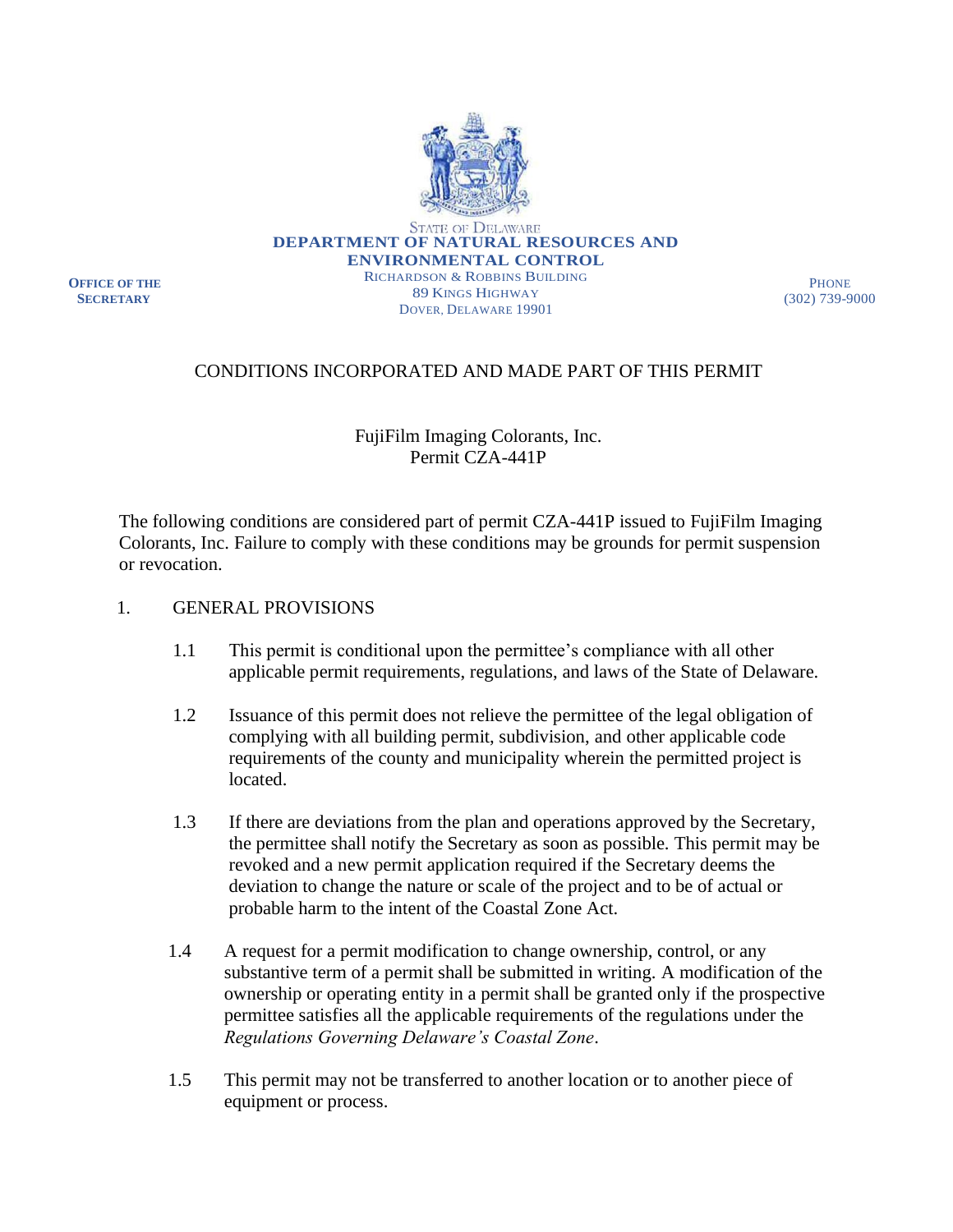

**OFFICE OF THE SECRETARY**

PHONE (302) 739-9000

# CONDITIONS INCORPORATED AND MADE PART OF THIS PERMIT

### FujiFilm Imaging Colorants, Inc. Permit CZA-441P

The following conditions are considered part of permit CZA-441P issued to FujiFilm Imaging Colorants, Inc. Failure to comply with these conditions may be grounds for permit suspension or revocation.

#### 1. GENERAL PROVISIONS

- 1.1 This permit is conditional upon the permittee's compliance with all other applicable permit requirements, regulations, and laws of the State of Delaware.
- 1.2 Issuance of this permit does not relieve the permittee of the legal obligation of complying with all building permit, subdivision, and other applicable code requirements of the county and municipality wherein the permitted project is located.
- 1.3 If there are deviations from the plan and operations approved by the Secretary, the permittee shall notify the Secretary as soon as possible. This permit may be revoked and a new permit application required if the Secretary deems the deviation to change the nature or scale of the project and to be of actual or probable harm to the intent of the Coastal Zone Act.
- 1.4 A request for a permit modification to change ownership, control, or any substantive term of a permit shall be submitted in writing. A modification of the ownership or operating entity in a permit shall be granted only if the prospective permittee satisfies all the applicable requirements of the regulations under the *Regulations Governing Delaware's Coastal Zone*.
- 1.5 This permit may not be transferred to another location or to another piece of equipment or process.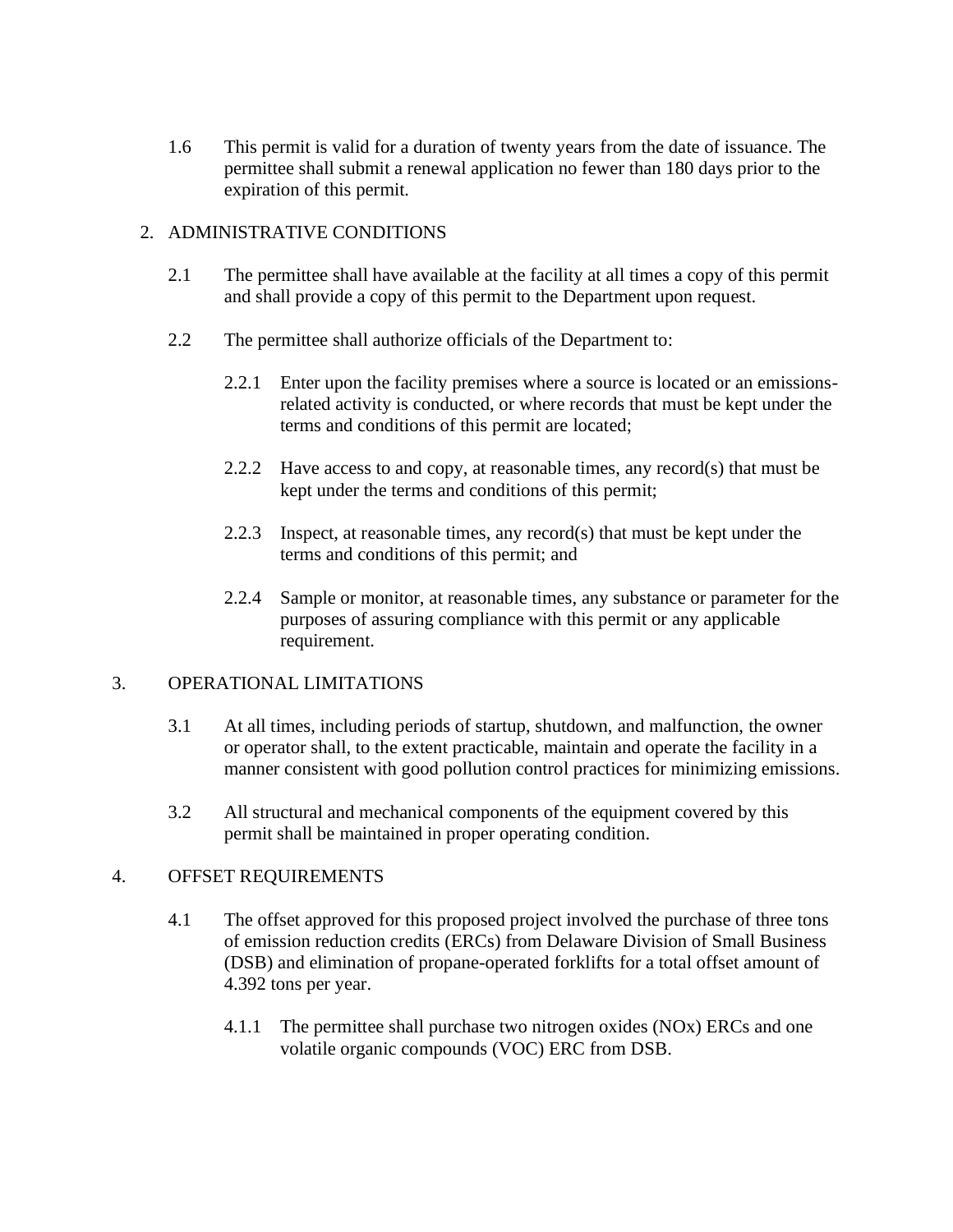1.6 This permit is valid for a duration of twenty years from the date of issuance. The permittee shall submit a renewal application no fewer than 180 days prior to the expiration of this permit.

## 2. ADMINISTRATIVE CONDITIONS

- 2.1 The permittee shall have available at the facility at all times a copy of this permit and shall provide a copy of this permit to the Department upon request.
- 2.2 The permittee shall authorize officials of the Department to:
	- 2.2.1 Enter upon the facility premises where a source is located or an emissionsrelated activity is conducted, or where records that must be kept under the terms and conditions of this permit are located;
	- 2.2.2 Have access to and copy, at reasonable times, any record(s) that must be kept under the terms and conditions of this permit;
	- 2.2.3 Inspect, at reasonable times, any record(s) that must be kept under the terms and conditions of this permit; and
	- 2.2.4 Sample or monitor, at reasonable times, any substance or parameter for the purposes of assuring compliance with this permit or any applicable requirement.

#### 3. OPERATIONAL LIMITATIONS

- 3.1 At all times, including periods of startup, shutdown, and malfunction, the owner or operator shall, to the extent practicable, maintain and operate the facility in a manner consistent with good pollution control practices for minimizing emissions.
- 3.2 All structural and mechanical components of the equipment covered by this permit shall be maintained in proper operating condition.

## 4. OFFSET REQUIREMENTS

- 4.1 The offset approved for this proposed project involved the purchase of three tons of emission reduction credits (ERCs) from Delaware Division of Small Business (DSB) and elimination of propane-operated forklifts for a total offset amount of 4.392 tons per year.
	- 4.1.1 The permittee shall purchase two nitrogen oxides (NOx) ERCs and one volatile organic compounds (VOC) ERC from DSB.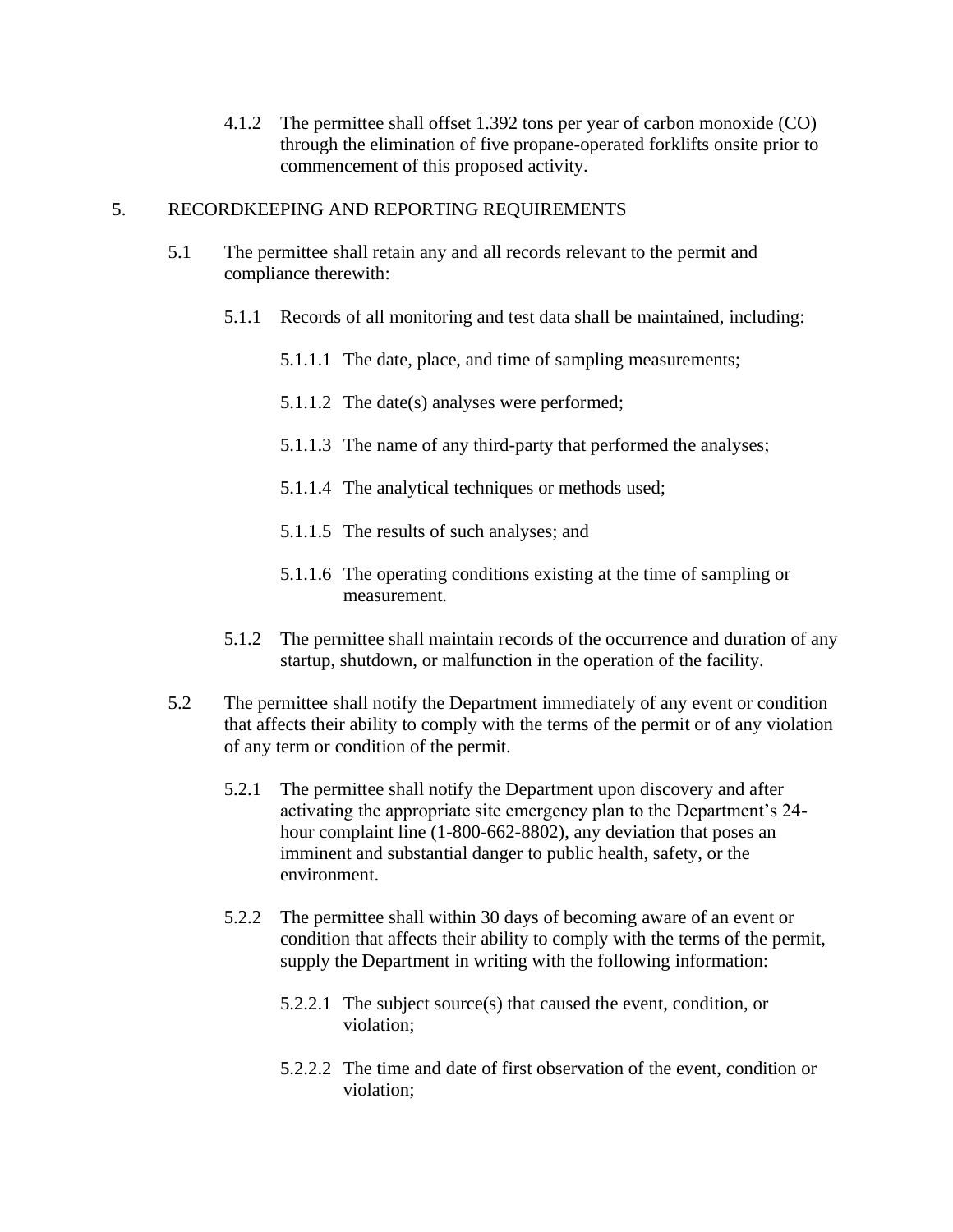4.1.2 The permittee shall offset 1.392 tons per year of carbon monoxide (CO) through the elimination of five propane-operated forklifts onsite prior to commencement of this proposed activity.

### 5. RECORDKEEPING AND REPORTING REQUIREMENTS

- 5.1 The permittee shall retain any and all records relevant to the permit and compliance therewith:
	- 5.1.1 Records of all monitoring and test data shall be maintained, including:
		- 5.1.1.1 The date, place, and time of sampling measurements;
		- 5.1.1.2 The date(s) analyses were performed;
		- 5.1.1.3 The name of any third-party that performed the analyses;
		- 5.1.1.4 The analytical techniques or methods used;
		- 5.1.1.5 The results of such analyses; and
		- 5.1.1.6 The operating conditions existing at the time of sampling or measurement.
	- 5.1.2 The permittee shall maintain records of the occurrence and duration of any startup, shutdown, or malfunction in the operation of the facility.
- 5.2 The permittee shall notify the Department immediately of any event or condition that affects their ability to comply with the terms of the permit or of any violation of any term or condition of the permit.
	- 5.2.1 The permittee shall notify the Department upon discovery and after activating the appropriate site emergency plan to the Department's 24 hour complaint line (1-800-662-8802), any deviation that poses an imminent and substantial danger to public health, safety, or the environment.
	- 5.2.2 The permittee shall within 30 days of becoming aware of an event or condition that affects their ability to comply with the terms of the permit, supply the Department in writing with the following information:
		- 5.2.2.1 The subject source(s) that caused the event, condition, or violation;
		- 5.2.2.2 The time and date of first observation of the event, condition or violation;